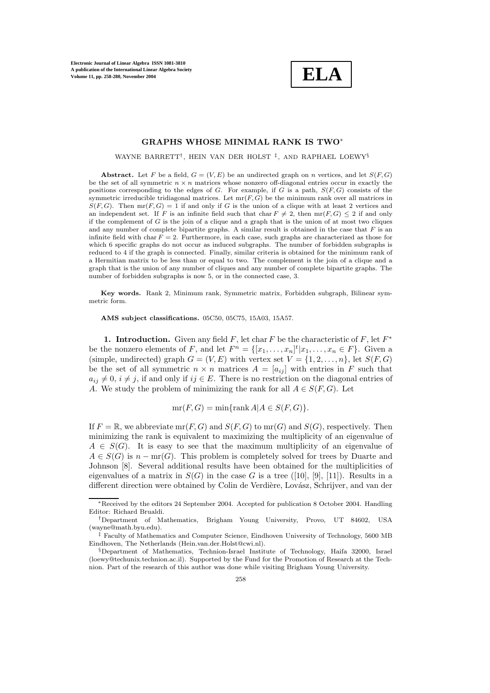

# **GRAPHS WHOSE MINIMAL RANK IS TWO**∗

WAYNE BARRETT†, HEIN VAN DER HOLST ‡, AND RAPHAEL LOEWY§

**Abstract.** Let F be a field,  $G = (V, E)$  be an undirected graph on n vertices, and let  $S(F, G)$ be the set of all symmetric  $n \times n$  matrices whose nonzero off-diagonal entries occur in exactly the positions corresponding to the edges of G. For example, if G is a path,  $S(F, G)$  consists of the symmetric irreducible tridiagonal matrices. Let  $mr(F, G)$  be the minimum rank over all matrices in  $S(F, G)$ . Then  $mr(F, G) = 1$  if and only if G is the union of a clique with at least 2 vertices and an independent set. If F is an infinite field such that char  $F \neq 2$ , then  $mr(F, G) \leq 2$  if and only if the complement of  $G$  is the join of a clique and a graph that is the union of at most two cliques and any number of complete bipartite graphs. A similar result is obtained in the case that  $F$  is an infinite field with char  $F = 2$ . Furthermore, in each case, such graphs are characterized as those for which 6 specific graphs do not occur as induced subgraphs. The number of forbidden subgraphs is reduced to 4 if the graph is connected. Finally, similar criteria is obtained for the minimum rank of a Hermitian matrix to be less than or equal to two. The complement is the join of a clique and a graph that is the union of any number of cliques and any number of complete bipartite graphs. The number of forbidden subgraphs is now 5, or in the connected case, 3.

Key words. Rank 2, Minimum rank, Symmetric matrix, Forbidden subgraph, Bilinear symmetric form.

**AMS subject classifications.** 05C50, 05C75, 15A03, 15A57.

**1. Introduction.** Given any field F, let char F be the characteristic of F, let  $F^*$ be the nonzero elements of F, and let  $F^n = \{ [x_1, \ldots, x_n]^t | x_1, \ldots, x_n \in F \}$ . Given a (simple, undirected) graph  $G = (V, E)$  with vertex set  $V = \{1, 2, ..., n\}$ , let  $S(F, G)$ be the set of all symmetric  $n \times n$  matrices  $A = [a_{ij}]$  with entries in F such that  $a_{ij} \neq 0$ ,  $i \neq j$ , if and only if  $ij \in E$ . There is no restriction on the diagonal entries of A. We study the problem of minimizing the rank for all  $A \in S(F, G)$ . Let

$$
mr(F, G) = min\{rank A | A \in S(F, G)\}.
$$

If  $F = \mathbb{R}$ , we abbreviate mr(F, G) and  $S(F, G)$  to mr(G) and  $S(G)$ , respectively. Then minimizing the rank is equivalent to maximizing the multiplicity of an eigenvalue of  $A \in S(G)$ . It is easy to see that the maximum multiplicity of an eigenvalue of  $A \in S(G)$  is  $n - mr(G)$ . This problem is completely solved for trees by Duarte and Johnson [8]. Several additional results have been obtained for the multiplicities of eigenvalues of a matrix in  $S(G)$  in the case G is a tree ([10], [9], [11]). Results in a different direction were obtained by Colin de Verdière, Lovász, Schrijver, and van der

<sup>∗</sup>Received by the editors 24 September 2004. Accepted for publication 8 October 2004. Handling Editor: Richard Brualdi.

<sup>†</sup>Department of Mathematics, Brigham Young University, Provo, UT 84602, USA (wayne@math.byu.edu).

<sup>‡</sup> Faculty of Mathematics and Computer Science, Eindhoven University of Technology, 5600 MB Eindhoven, The Netherlands (Hein.van.der.Holst@cwi.nl).

<sup>§</sup>Department of Mathematics, Technion-Israel Institute of Technology, Haifa 32000, Israel (loewy@techunix.technion.ac.il). Supported by the Fund for the Promotion of Research at the Technion. Part of the research of this author was done while visiting Brigham Young University.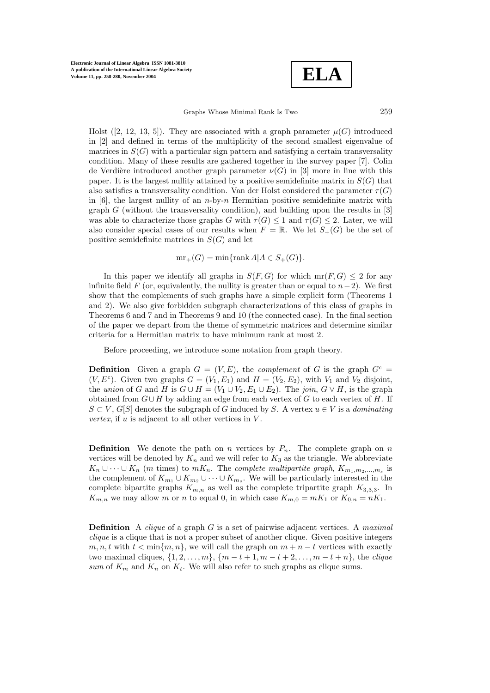

Holst ([2, 12, 13, 5]). They are associated with a graph parameter  $\mu(G)$  introduced in [2] and defined in terms of the multiplicity of the second smallest eigenvalue of matrices in  $S(G)$  with a particular sign pattern and satisfying a certain transversality condition. Many of these results are gathered together in the survey paper [7]. Colin de Verdière introduced another graph parameter  $\nu(G)$  in [3] more in line with this paper. It is the largest nullity attained by a positive semidefinite matrix in  $S(G)$  that also satisfies a transversality condition. Van der Holst considered the parameter  $\tau(G)$ in  $[6]$ , the largest nullity of an *n*-by-*n* Hermitian positive semidefinite matrix with graph  $G$  (without the transversality condition), and building upon the results in  $[3]$ was able to characterize those graphs G with  $\tau(G) \leq 1$  and  $\tau(G) \leq 2$ . Later, we will also consider special cases of our results when  $F = \mathbb{R}$ . We let  $S_{+}(G)$  be the set of positive semidefinite matrices in  $S(G)$  and let

 $mr_+(G) = min\{rank A | A \in S_+(G)\}.$ 

In this paper we identify all graphs in  $S(F, G)$  for which mr $(F, G) \leq 2$  for any infinite field F (or, equivalently, the nullity is greater than or equal to  $n-2$ ). We first show that the complements of such graphs have a simple explicit form (Theorems 1 and 2). We also give forbidden subgraph characterizations of this class of graphs in Theorems 6 and 7 and in Theorems 9 and 10 (the connected case). In the final section of the paper we depart from the theme of symmetric matrices and determine similar criteria for a Hermitian matrix to have minimum rank at most 2.

Before proceeding, we introduce some notation from graph theory.

**Definition** Given a graph  $G = (V, E)$ , the *complement* of G is the graph  $G<sup>c</sup>$  $(V, E^c)$ . Given two graphs  $G = (V_1, E_1)$  and  $H = (V_2, E_2)$ , with  $V_1$  and  $V_2$  disjoint, the *union* of G and H is  $G \cup H = (V_1 \cup V_2, E_1 \cup E_2)$ . The *join*,  $G \vee H$ , is the graph obtained from  $G \cup H$  by adding an edge from each vertex of G to each vertex of H. If  $S \subset V$ ,  $G[S]$  denotes the subgraph of G induced by S. A vertex  $u \in V$  is a *dominating vertex*, if  $u$  is adjacent to all other vertices in  $V$ .

**Definition** We denote the path on n vertices by  $P_n$ . The complete graph on n vertices will be denoted by  $K_n$  and we will refer to  $K_3$  as the triangle. We abbreviate  $K_n \cup \cdots \cup K_n$  (*m* times) to  $mK_n$ . The *complete multipartite graph*,  $K_{m_1,m_2,...,m_s}$  is the complement of  $K_{m_1} \cup K_{m_2} \cup \cdots \cup K_{m_s}$ . We will be particularly interested in the complete bipartite graphs  $K_{m,n}$  as well as the complete tripartite graph  $K_{3,3,3}$ . In  $K_{m,n}$  we may allow m or n to equal 0, in which case  $K_{m,0} = mK_1$  or  $K_{0,n} = nK_1$ .

**Definition** A *clique* of a graph G is a set of pairwise adjacent vertices. A *maximal clique* is a clique that is not a proper subset of another clique. Given positive integers  $m, n, t$  with  $t < \min\{m, n\}$ , we will call the graph on  $m + n - t$  vertices with exactly two maximal cliques,  $\{1, 2, ..., m\}$ ,  $\{m - t + 1, m - t + 2, ..., m - t + n\}$ , the *clique sum* of  $K_m$  and  $K_n$  on  $K_t$ . We will also refer to such graphs as clique sums.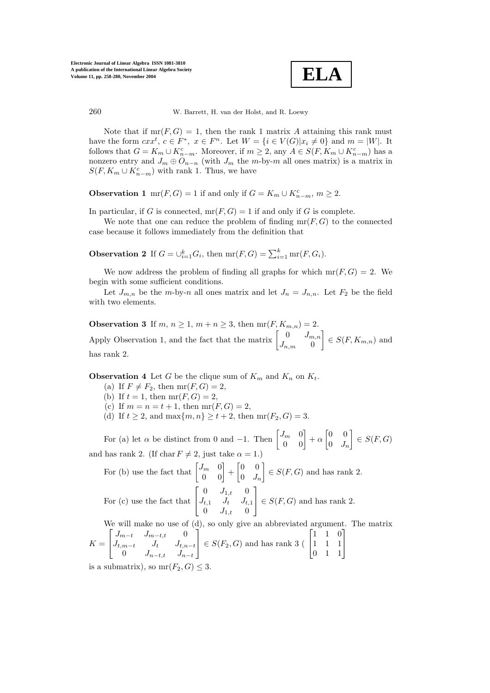

Note that if  $mr(F, G) = 1$ , then the rank 1 matrix A attaining this rank must have the form  $cxx^t, c \in F^*$ ,  $x \in F^n$ . Let  $W = \{i \in V(G)|x_i \neq 0\}$  and  $m = |W|$ . It follows that  $G = K_m \cup K_{n-m}^c$ . Moreover, if  $m \geq 2$ , any  $A \in S(F, K_m \cup K_{n-m}^c)$  has a nonzero entry and  $J_m \oplus O_{n-n}$  (with  $J_m$  the m-by-m all ones matrix) is a matrix in  $S(F, K_m \cup K_{n-m}^c)$  with rank 1. Thus, we have

**Observation 1** mr( $F, G$ ) = 1 if and only if  $G = K_m \cup K_{n-m}^c$ ,  $m \ge 2$ .

In particular, if G is connected,  $mr(F, G) = 1$  if and only if G is complete.

We note that one can reduce the problem of finding  $mr(F, G)$  to the connected case because it follows immediately from the definition that

**Observation 2** If  $G = \bigcup_{i=1}^{k} G_i$ , then  $\text{mr}(F, G) = \sum_{i=1}^{k} \text{mr}(F, G_i)$ .

We now address the problem of finding all graphs for which  $mr(F, G) = 2$ . We begin with some sufficient conditions.

Let  $J_{m,n}$  be the m-by-n all ones matrix and let  $J_n = J_{n,n}$ . Let  $F_2$  be the field with two elements.

**Observation 3** If  $m, n \ge 1, m + n \ge 3$ , then  $mr(F, K_{m,n}) = 2$ . Apply Observation 1, and the fact that the matrix  $\begin{bmatrix} 0 & J_{m,n} \\ J_{n,n} & 0 \end{bmatrix}$  $J_{n,m}$  0  $\Big] \in S(F, K_{m,n})$  and has rank 2.

**Observation 4** Let G be the clique sum of  $K_m$  and  $K_n$  on  $K_t$ .

- (a) If  $F \neq F_2$ , then  $mr(F, G) = 2$ ,
- (b) If  $t = 1$ , then  $mr(F, G) = 2$ ,
- (c) If  $m = n = t + 1$ , then  $mr(F, G) = 2$ ,
- (d) If  $t \ge 2$ , and max $\{m, n\} \ge t + 2$ , then mr $(F_2, G) = 3$ .

For (a) let  $\alpha$  be distinct from 0 and -1. Then  $\begin{bmatrix} J_m & 0 \\ 0 & 0 \end{bmatrix} + \alpha \begin{bmatrix} 0 & 0 \\ 0 & J_n \end{bmatrix}$  $0 \quad J_n$  $\Big] \in S(F,G)$ and has rank 2. (If char  $F \neq 2$ , just take  $\alpha = 1$ .)

For (b) use the fact that 
$$
\begin{bmatrix} J_m & 0 \\ 0 & 0 \end{bmatrix} + \begin{bmatrix} 0 & 0 \\ 0 & J_n \end{bmatrix} \in S(F, G)
$$
 and has rank 2.  
For (c) use the fact that  $\begin{bmatrix} 0 & J_{1,t} & 0 \\ J_{t,1} & J_t & J_{t,1} \\ 0 & J_{1,t} & 0 \end{bmatrix} \in S(F, G)$  and has rank 2.

We will make no use of (d), so only give an abbreviated argument. The matrix  $K =$  $\sqrt{ }$  $\overline{1}$  $J_{m-t}$   $J_{m-t,t}$  0  $J_{t,m-t}$   $J_t$   $J_{t,n-t}$ 0  $J_{n-t,t}$   $J_{n-t}$ 1  $\Big| \in S(F_2, G)$  and has rank 3 (  $\sqrt{ }$  $\overline{1}$ 110 111 011 1  $\overline{1}$ 

is a submatrix), so  $mr(F_2, G) \leq 3$ .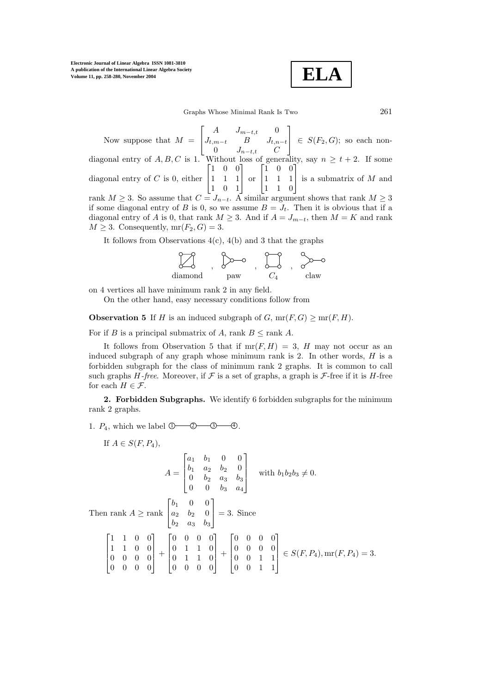$$
\boxed{\text{ELA}}
$$

Graphs Whose Minimal Rank Is Two 261

Now suppose that  $M =$  $\lceil$  $\overline{1}$ A  $J_{m-t,t}$  0  $J_{t,m-t}$  B  $J_{t,n-t}$ 0  $J_{n-t,t}$  C 1  $\Big| \in S(F_2, G);$  so each nondiagonal entry of  $A, B, C$  is 1. Without loss of generality, say  $n \ge t+2$ . If some diagonal entry of  $C$  is 0, either  $\sqrt{ }$  $\overline{1}$ 100 111 1 0 1 | 1 1 0 1 or  $\lceil$  $\overline{1}$ 100 111 1 is a submatrix of  $M$  and rank  $M \geq 3$ . So assume that  $C = J_{n-t}$ . A similar argument shows that rank  $M \geq 3$ if some diagonal entry of B is 0, so we assume  $B = J_t$ . Then it is obvious that if a

diagonal entry of A is 0, that rank  $M \geq 3$ . And if  $A = J_{m-t}$ , then  $M = K$  and rank  $M \geq 3$ . Consequently,  $mr(F_2, G) = 3$ .

It follows from Observations  $4(c)$ ,  $4(b)$  and 3 that the graphs

$$
\begin{array}{ccc}\n\bullet & \bullet & \bullet & \bullet & \bullet \\
\bullet & \bullet & \bullet & \bullet & \bullet & \bullet \\
\bullet & \bullet & \bullet & \bullet & \bullet & \bullet \\
\bullet & \bullet & \bullet & \bullet & \bullet & \bullet \\
\bullet & \bullet & \bullet & \bullet & \bullet & \bullet\n\end{array}
$$

on 4 vertices all have minimum rank 2 in any field.

On the other hand, easy necessary conditions follow from

**Observation 5** If H is an induced subgraph of G,  $mr(F, G) \geq mr(F, H)$ .

For if B is a principal submatrix of A, rank  $B \leq \text{rank } A$ .

It follows from Observation 5 that if  $mr(F, H) = 3$ , H may not occur as an induced subgraph of any graph whose minimum rank is  $2$ . In other words,  $H$  is a forbidden subgraph for the class of minimum rank 2 graphs. It is common to call such graphs  $H$ -free. Moreover, if  $\mathcal F$  is a set of graphs, a graph is  $\mathcal F$ -free if it is  $H$ -free for each  $H \in \mathcal{F}$ .

**2. Forbidden Subgraphs.** We identify 6 forbidden subgraphs for the minimum rank 2 graphs.

1.  $P_4$ , which we label  $\mathbb{O}$   $\mathbb{O}$   $\mathbb{O}$   $\mathbb{O}$   $\mathbb{O}$ .

If 
$$
A \in S(F, P_4)
$$
,  
\n
$$
A = \begin{bmatrix} a_1 & b_1 & 0 & 0 \\ b_1 & a_2 & b_2 & 0 \\ 0 & b_2 & a_3 & b_3 \\ 0 & 0 & b_3 & a_4 \end{bmatrix} \text{ with } b_1b_2b_3 \neq 0.
$$
\nThen rank  $A \ge \text{rank} \begin{bmatrix} b_1 & 0 & 0 \\ a_2 & b_2 & 0 \\ b_2 & a_3 & b_3 \end{bmatrix} = 3$ . Since\n
$$
\begin{bmatrix} 1 & 1 & 0 & 0 \\ 1 & 1 & 0 & 0 \\ 0 & 0 & 0 & 0 \\ 0 & 0 & 0 & 0 \end{bmatrix} + \begin{bmatrix} 0 & 0 & 0 & 0 \\ 0 & 1 & 1 & 0 \\ 0 & 1 & 1 & 0 \\ 0 & 0 & 0 & 0 \end{bmatrix} + \begin{bmatrix} 0 & 0 & 0 & 0 \\ 0 & 0 & 0 & 0 \\ 0 & 0 & 1 & 1 \\ 0 & 0 & 1 & 1 \end{bmatrix} \in S(F, P_4), \text{mr}(F, P_4) = 3.
$$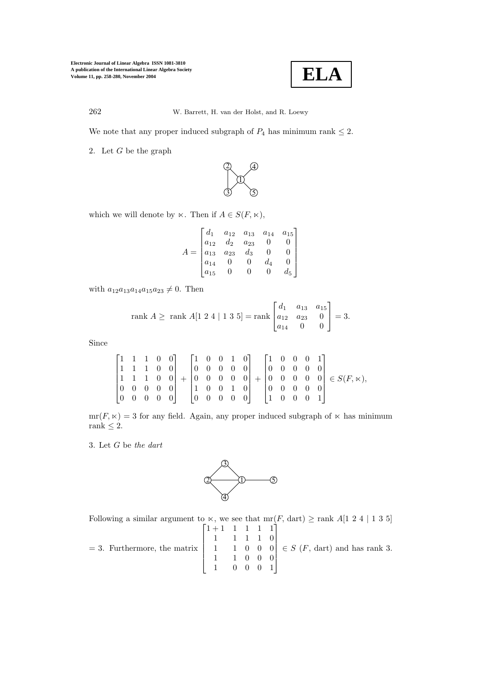

We note that any proper induced subgraph of  $P_4$  has minimum rank  $\leq 2$ .

2. Let  $G$  be the graph



which we will denote by  $\ltimes$ . Then if  $A \in S(F, \ltimes)$ ,

$$
A = \begin{bmatrix} d_1 & a_{12} & a_{13} & a_{14} & a_{15} \\ a_{12} & d_2 & a_{23} & 0 & 0 \\ a_{13} & a_{23} & d_3 & 0 & 0 \\ a_{14} & 0 & 0 & d_4 & 0 \\ a_{15} & 0 & 0 & 0 & d_5 \end{bmatrix}
$$

with  $a_{12}a_{13}a_{14}a_{15}a_{23} \neq 0$ . Then

rank 
$$
A \geq
$$
 rank  $A[1\ 2\ 4\ | \ 1\ 3\ 5] =$ rank  $\begin{bmatrix} d_1 & a_{13} & a_{15} \\ a_{12} & a_{23} & 0 \\ a_{14} & 0 & 0 \end{bmatrix} = 3.$ 

Since

$$
\begin{bmatrix} 1 & 1 & 1 & 0 & 0 \\ 1 & 1 & 1 & 0 & 0 \\ 1 & 1 & 1 & 0 & 0 \\ 0 & 0 & 0 & 0 & 0 \\ 0 & 0 & 0 & 0 & 0 \end{bmatrix} + \begin{bmatrix} 1 & 0 & 0 & 1 & 0 \\ 0 & 0 & 0 & 0 & 0 \\ 0 & 0 & 0 & 0 & 0 \\ 1 & 0 & 0 & 1 & 0 \\ 0 & 0 & 0 & 0 & 0 \end{bmatrix} + \begin{bmatrix} 1 & 0 & 0 & 0 & 1 \\ 0 & 0 & 0 & 0 & 0 \\ 0 & 0 & 0 & 0 & 0 \\ 0 & 0 & 0 & 0 & 0 \\ 1 & 0 & 0 & 0 & 1 \end{bmatrix} \in S(F, \ltimes),
$$

 $mr(F, \times) = 3$  for any field. Again, any proper induced subgraph of  $\times$  has minimum rank  $\leq 2$ .

3. Let G be *the dart*



Following a similar argument to  $\ltimes$ , we see that mr(F, dart)  $\geq$  rank A[1 2 4 | 1 3 5]  $\sqrt{ }$ 1+1 1 1 1 1 1

= 3. Furthermore, the matrix 1 1110 1 1000 1 1000 1 0001  $\in S$  (*F*, dart) and has rank 3.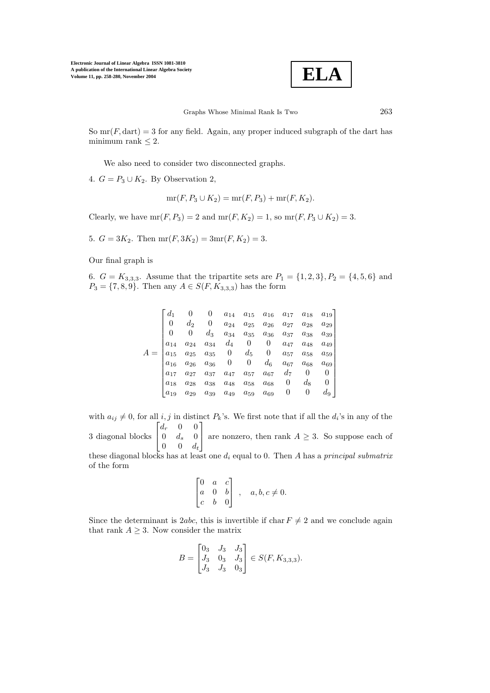

So  $mr(F, dart) = 3$  for any field. Again, any proper induced subgraph of the dart has minimum rank  $\leq 2$ .

We also need to consider two disconnected graphs.

4.  $G = P_3 \cup K_2$ . By Observation 2,

 $mr(F, P_3 \cup K_2) = mr(F, P_3) + mr(F, K_2).$ 

Clearly, we have  $mr(F, P_3) = 2$  and  $mr(F, K_2) = 1$ , so  $mr(F, P_3 \cup K_2) = 3$ .

5.  $G = 3K_2$ . Then mr(*F*,  $3K_2$ ) = 3mr(*F*,  $K_2$ ) = 3.

Our final graph is

of the form

6.  $G = K_{3,3,3}$ . Assume that the tripartite sets are  $P_1 = \{1, 2, 3\}, P_2 = \{4, 5, 6\}$  and  $P_3 = \{7, 8, 9\}.$  Then any  $A \in S(F, K_{3,3,3})$  has the form

|          |              |                                 | $a_{14}$            | $a_{15}$                        | $a_{16}$              | $a_{17}$       | $a_{18}$ | $a_{19}$       |
|----------|--------------|---------------------------------|---------------------|---------------------------------|-----------------------|----------------|----------|----------------|
|          | $d_2$        | $\begin{matrix} 0 \end{matrix}$ | $a_{24}$            | $a_{25}$                        | $a_{26}$              | $a_{27}$       | $a_{28}$ | $a_{29}$       |
|          | 0            | $d_3$                           | $a_{34}$            | $a_{35}$                        | $\boldsymbol{a_{36}}$ | $a_{37}$       | $a_{38}$ | $a_{39}$       |
| $a_{14}$ | $a_{24}$     | $a_{34}$                        |                     | $d_4\, \equiv\, 0\, \equiv\, 0$ |                       | $a_{47}$       | $a_{48}$ | $a_{49} \mid$  |
| $a_{15}$ | $a_{25}$     |                                 | $a_{35}$ 0          | $d_5$                           | $\overline{0}$        | $a_{57}$       | $a_{58}$ | $a_{59}$       |
| $a_{16}$ | $a_{26}$     | $a_{36}$                        | $0\qquad 0$         |                                 | $d_{\rm 6}$           | $a_{67}$       | $a_{68}$ | $a_{69}$       |
| $a_{17}$ | $a_{27}$     | $a_{37}$                        | $\mathfrak{a}_{47}$ | $a_{57}$                        | $a_{67}$              | $d_7$          | $\theta$ | $\overline{0}$ |
| $a_{18}$ | $a_{28}$     | $a_{38}$                        | $a_{48}$            | $a_{58}$                        | $a_{68}$              | $\overline{0}$ | $d_8$    | $\overline{0}$ |
| $a_{19}$ | $a_{\rm 29}$ |                                 |                     | $a_{39}$ $a_{49}$ $a_{59}$      | $a_{69}$              | $\overline{0}$ | 0        | $d_{9}$        |

with  $a_{ij} \neq 0$ , for all i, j in distinct  $P_k$ 's. We first note that if all the  $d_i$ 's in any of the 3 diagonal blocks  $\sqrt{ }$  $\overline{1}$  $d_r$  0 0  $0 \t d_s \t 0$  $0 \quad 0 \quad d_t$ 1 are nonzero, then rank  $A \geq 3$ . So suppose each of these diagonal blocks has at least one d<sup>i</sup> equal to 0. Then A has a *principal submatrix*

$$
\begin{bmatrix} 0 & a & c \\ a & 0 & b \\ c & b & 0 \end{bmatrix}, \quad a, b, c \neq 0.
$$

Since the determinant is 2abc, this is invertible if char  $F \neq 2$  and we conclude again that rank  $A \geq 3$ . Now consider the matrix

$$
B=\begin{bmatrix}0_3&J_3&J_3\\J_3&0_3&J_3\\J_3&J_3&0_3\end{bmatrix}\in S(F,K_{3,3,3}).
$$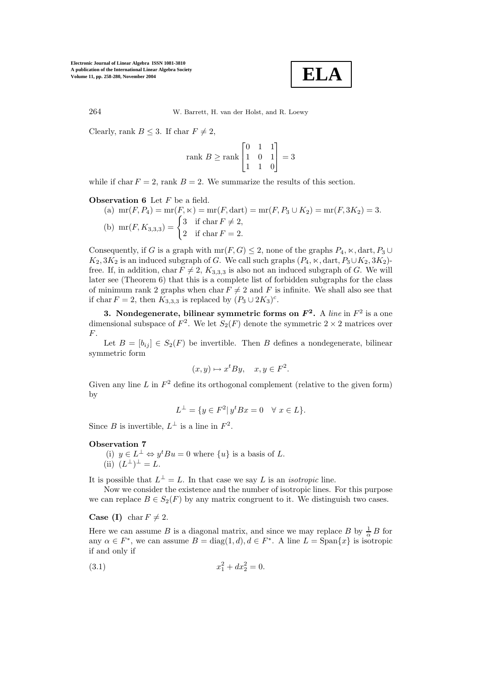

Clearly, rank  $B \leq 3$ . If char  $F \neq 2$ ,

rank 
$$
B \geq \text{rank}\begin{bmatrix} 0 & 1 & 1 \\ 1 & 0 & 1 \\ 1 & 1 & 0 \end{bmatrix} = 3
$$

while if char  $F = 2$ , rank  $B = 2$ . We summarize the results of this section.

# **Observation 6** Let F be a field.

(a)  $\text{mr}(F, P_4) = \text{mr}(F, \times) = \text{mr}(F, \text{dart}) = \text{mr}(F, P_3 \cup K_2) = \text{mr}(F, 3K_2) = 3.$ (b) mr(*F*,  $K_{3,3,3}$ ) =  $\begin{cases} 3 & \text{if char } F \neq 2, \\ 0 & \text{if } 1, F = 2, \end{cases}$ 2 if  $\text{char } F = 2$ .

Consequently, if G is a graph with  $mr(F, G) \leq 2$ , none of the graphs  $P_4$ ,  $\ltimes$ , dart,  $P_3 \cup$  $K_2, 3K_2$  is an induced subgraph of G. We call such graphs  $(P_4, \times, \text{dart}, P_3 \cup K_2, 3K_2)$ free. If, in addition, char  $F \neq 2$ ,  $K_{3,3,3}$  is also not an induced subgraph of G. We will later see (Theorem 6) that this is a complete list of forbidden subgraphs for the class of minimum rank 2 graphs when char  $F \neq 2$  and F is infinite. We shall also see that if char  $F = 2$ , then  $K_{3,3,3}$  is replaced by  $(P_3 \cup 2K_3)^c$ .

**3.** Nondegenerate, bilinear symmetric forms on  $F^2$ . A *line* in  $F^2$  is a one dimensional subspace of  $F^2$ . We let  $S_2(F)$  denote the symmetric  $2 \times 2$  matrices over F.

Let  $B = [b_{ij}] \in S_2(F)$  be invertible. Then B defines a nondegenerate, bilinear symmetric form

$$
(x, y) \mapsto x^t B y, \quad x, y \in F^2.
$$

Given any line L in  $F^2$  define its orthogonal complement (relative to the given form) by

$$
L^{\perp} = \{ y \in F^2 | y^t B x = 0 \quad \forall x \in L \}.
$$

Since B is invertible,  $L^{\perp}$  is a line in  $F^2$ .

#### **Observation 7**

(i)  $y \in L^{\perp} \Leftrightarrow y^t B u = 0$  where  $\{u\}$  is a basis of L. (ii)  $(L^{\perp})^{\perp} = L$ .

It is possible that  $L^{\perp} = L$ . In that case we say L is an *isotropic* line.

Now we consider the existence and the number of isotropic lines. For this purpose we can replace  $B \in S_2(F)$  by any matrix congruent to it. We distinguish two cases.

**Case (I)** char  $F \neq 2$ .

Here we can assume B is a diagonal matrix, and since we may replace B by  $\frac{1}{\alpha}B$  for any  $\alpha \in F^*$ , we can assume  $B = \text{diag}(1, d), d \in F^*$ . A line  $L = \text{Span}\{x\}$  is isotropic if and only if

(3.1) 
$$
x_1^2 + dx_2^2 = 0.
$$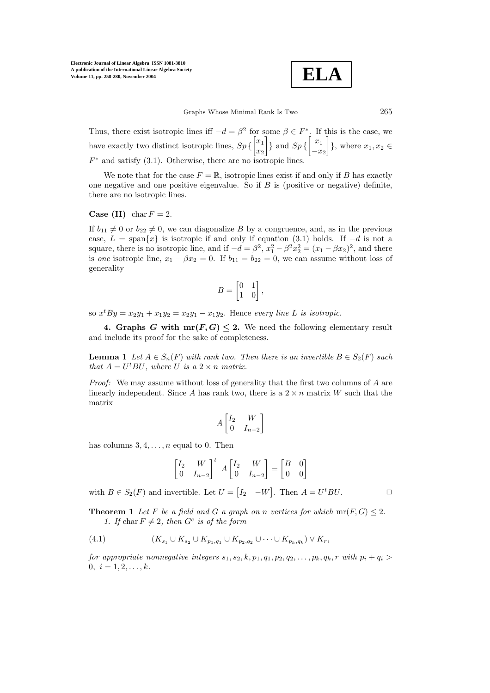$$
\boxed{\textbf{ELA}}
$$

Thus, there exist isotropic lines iff  $-d = \beta^2$  for some  $\beta \in F^*$ . If this is the case, we have exactly two distinct isotropic lines,  $Sp\left\{\begin{bmatrix} x_1 \\ x_2 \end{bmatrix}\right\}$  $\overline{x_2}$  $\Big\}$  and  $Sp\Big\{ \Big\}$  $-x_2$  $\Big\}$ , where  $x_1, x_2 \in$  $F^*$  and satisfy (3.1). Otherwise, there are no isotropic lines.

We note that for the case  $F = \mathbb{R}$ , isotropic lines exist if and only if B has exactly one negative and one positive eigenvalue. So if  $B$  is (positive or negative) definite, there are no isotropic lines.

## **Case (II)** char  $F = 2$ .

If  $b_{11} \neq 0$  or  $b_{22} \neq 0$ , we can diagonalize B by a congruence, and, as in the previous case,  $L = \text{span}\{x\}$  is isotropic if and only if equation (3.1) holds. If  $-d$  is not a square, there is no isotropic line, and if  $-d = \beta^2$ ,  $x_1^2 - \beta^2 x_2^2 = (x_1 - \beta x_2)^2$ , and there is *one* isotropic line,  $x_1 - \beta x_2 = 0$ . If  $b_{11} = b_{22} = 0$ , we can assume without loss of generality

$$
B = \begin{bmatrix} 0 & 1 \\ 1 & 0 \end{bmatrix},
$$

so  $x^tBy = x_2y_1 + x_1y_2 = x_2y_1 - x_1y_2$ . Hence *every line* L *is isotropic*.

**4. Graphs** *G* with  $\text{mr}(F, G) \leq 2$ . We need the following elementary result and include its proof for the sake of completeness.

**Lemma 1** *Let*  $A \in S_n(F)$  *with rank two. Then there is an invertible*  $B \in S_2(F)$  *such that*  $A = U^t B U$ *, where*  $U$  *is a*  $2 \times n$  *matrix.* 

*Proof:* We may assume without loss of generality that the first two columns of A are linearly independent. Since A has rank two, there is a  $2 \times n$  matrix W such that the matrix

$$
A \begin{bmatrix} I_2 & W \\ 0 & I_{n-2} \end{bmatrix}
$$

has columns  $3, 4, \ldots, n$  equal to 0. Then

$$
\begin{bmatrix} I_2 & W \\ 0 & I_{n-2} \end{bmatrix}^t A \begin{bmatrix} I_2 & W \\ 0 & I_{n-2} \end{bmatrix} = \begin{bmatrix} B & 0 \\ 0 & 0 \end{bmatrix}
$$

with  $B \in S_2(F)$  and invertible. Let  $U = \begin{bmatrix} I_2 & -W \end{bmatrix}$ . Then  $A = U^t BU$ .

**Theorem 1** Let F be a field and G a graph on n vertices for which  $mr(F, G) \leq 2$ . *1. If* char  $F \neq 2$ *, then*  $G^c$  *is of the form* 

(4.1) 
$$
(K_{s_1} \cup K_{s_2} \cup K_{p_1,q_1} \cup K_{p_2,q_2} \cup \cdots \cup K_{p_k,q_k}) \vee K_r,
$$

*for appropriate nonnegative integers*  $s_1, s_2, k, p_1, q_1, p_2, q_2, \ldots, p_k, q_k, r$  *with*  $p_i + q_i >$  $0, i = 1, 2, \ldots, k.$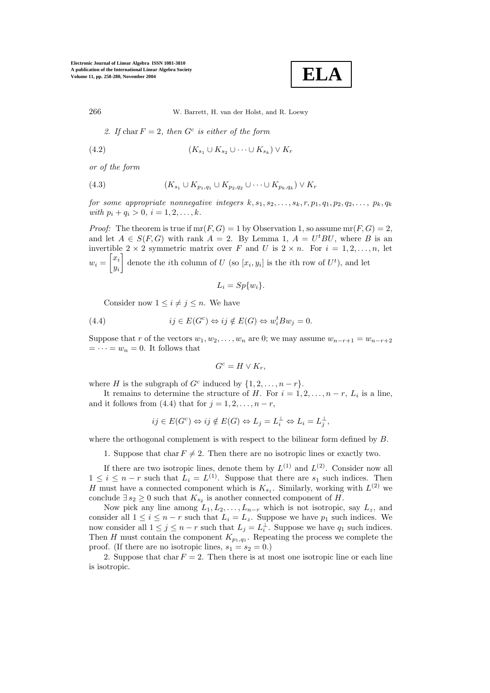

266 W. Barrett, H. van der Holst, and R. Loewy

2. If char  $F = 2$ , then  $G<sup>c</sup>$  is either of the form

$$
(4.2) \qquad (K_{s_1} \cup K_{s_2} \cup \cdots \cup K_{s_k}) \vee K_r
$$

*or of the form*

(4.3) 
$$
(K_{s_1} \cup K_{p_1,q_1} \cup K_{p_2,q_2} \cup \cdots \cup K_{p_k,q_k}) \vee K_r
$$

*for some appropriate nonnegative integers*  $k, s_1, s_2, \ldots, s_k, r, p_1, q_1, p_2, q_2, \ldots, p_k, q_k$ *with*  $p_i + q_i > 0$ ,  $i = 1, 2, ..., k$ .

*Proof:* The theorem is true if  $mr(F, G) = 1$  by Observation 1, so assume  $mr(F, G) = 2$ , and let  $A \in S(F, G)$  with rank  $A = 2$ . By Lemma 1,  $A = U^t B U$ , where B is an invertible  $2 \times 2$  symmetric matrix over F and U is  $2 \times n$ . For  $i = 1, 2, ..., n$ , let  $w_i = \begin{bmatrix} x_i \\ y_i \end{bmatrix}$ yi denote the *i*th column of U (so  $[x_i, y_i]$  is the *i*th row of  $U<sup>t</sup>$ ), and let

$$
L_i = Sp\{w_i\}.
$$

Consider now  $1 \leq i \neq j \leq n$ . We have

(4.4) 
$$
ij \in E(G^c) \Leftrightarrow ij \notin E(G) \Leftrightarrow w_i^t B w_j = 0.
$$

Suppose that r of the vectors  $w_1, w_2, \ldots, w_n$  are 0; we may assume  $w_{n-r+1} = w_{n-r+2}$  $= \cdots = w_n = 0$ . It follows that

$$
G^c = H \vee K_r,
$$

where H is the subgraph of  $G^c$  induced by  $\{1, 2, ..., n-r\}.$ 

It remains to determine the structure of H. For  $i = 1, 2, \ldots, n - r$ ,  $L_i$  is a line, and it follows from (4.4) that for  $j = 1, 2, \ldots, n - r$ ,

$$
ij \in E(G^c) \Leftrightarrow ij \notin E(G) \Leftrightarrow L_j = L_i^{\perp} \Leftrightarrow L_i = L_j^{\perp},
$$

where the orthogonal complement is with respect to the bilinear form defined by  $B$ .

1. Suppose that char  $F \neq 2$ . Then there are no isotropic lines or exactly two.

If there are two isotropic lines, denote them by  $L^{(1)}$  and  $L^{(2)}$ . Consider now all  $1 \leq i \leq n-r$  such that  $L_i = L^{(1)}$ . Suppose that there are  $s_1$  such indices. Then H must have a connected component which is  $K_{s_1}$ . Similarly, working with  $L^{(2)}$  we conclude  $\exists s_2 \geq 0$  such that  $K_{s_2}$  is another connected component of H.

Now pick any line among  $L_1, L_2, \ldots, L_{n-r}$  which is not isotropic, say  $L_z$ , and consider all  $1 \leq i \leq n-r$  such that  $L_i = L_z$ . Suppose we have  $p_1$  such indices. We now consider all  $1 \leq j \leq n-r$  such that  $L_j = L_i^{\perp}$ . Suppose we have  $q_1$  such indices. Then H must contain the component  $K_{p_1,q_1}$ . Repeating the process we complete the proof. (If there are no isotropic lines,  $s_1 = s_2 = 0$ .)

2. Suppose that char  $F = 2$ . Then there is at most one isotropic line or each line is isotropic.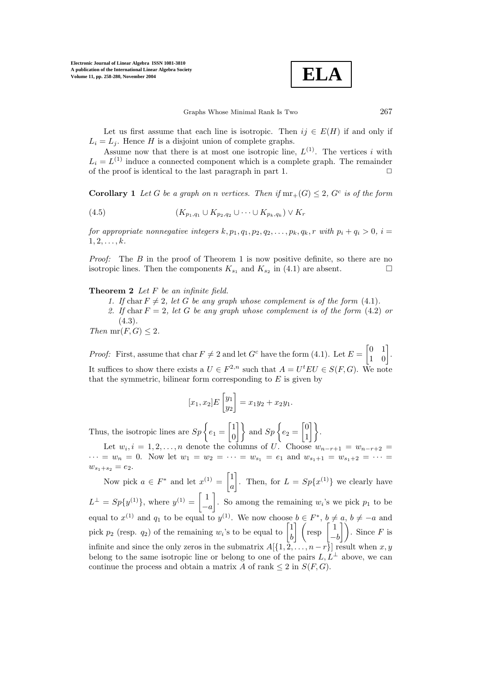$$
\fbox{ELA}
$$

Let us first assume that each line is isotropic. Then  $ij \in E(H)$  if and only if  $L_i = L_j$ . Hence H is a disjoint union of complete graphs.

Assume now that there is at most one isotropic line,  $L^{(1)}$ . The vertices i with  $L_i = L^{(1)}$  induce a connected component which is a complete graph. The remainder of the proof is identical to the last paragraph in part 1.  $\Box$ 

**Corollary 1** Let G be a graph on n vertices. Then if  $mr_+(G) \leq 2$ ,  $G^c$  is of the form

(4.5) 
$$
(K_{p_1,q_1} \cup K_{p_2,q_2} \cup \cdots \cup K_{p_k,q_k}) \vee K_r
$$

*for appropriate nonnegative integers*  $k, p_1, q_1, p_2, q_2, \ldots, p_k, q_k, r$  *with*  $p_i + q_i > 0, i =$ 1, 2,...,k*.*

*Proof:* The B in the proof of Theorem 1 is now positive definite, so there are no isotropic lines. Then the components  $K_{s_1}$  and  $K_{s_2}$  in (4.1) are absent.

**Theorem 2** *Let* F *be an infinite field.*

- *1. If* char  $F \neq 2$ , let G be any graph whose complement is of the form (4.1).
- 2. If char  $F = 2$ , let G be any graph whose complement is of the form  $(4.2)$  or (4.3)*.*

*Then*  $mr(F, G) \leq 2$ *.* 

*Proof:* First, assume that char  $F \neq 2$  and let  $G^c$  have the form (4.1). Let  $E = \begin{bmatrix} 0 & 1 \\ 1 & 0 \end{bmatrix}$ . It suffices to show there exists a  $U \in F^{2,n}$  such that  $A = U^t E U \in S(F, G)$ . We note that the symmetric, bilinear form corresponding to  $E$  is given by

$$
[x_1, x_2]E\begin{bmatrix} y_1 \\ y_2 \end{bmatrix} = x_1y_2 + x_2y_1.
$$

Thus, the isotropic lines are  $Sp\left\{e_1 = \begin{bmatrix} 1 \\ 0 \end{bmatrix}\right\}$  $\begin{bmatrix} 1 \\ 0 \end{bmatrix}$  and  $Sp\left\{e_2 = \begin{bmatrix} 0 \\ 1 \end{bmatrix}\right\}$  $\begin{bmatrix} 0 \\ 1 \end{bmatrix}$ .

Let  $w_i, i = 1, 2, \ldots, n$  denote the columns of U. Choose  $w_{n-r+1} = w_{n-r+2}$  $\cdots = w_n = 0$ . Now let  $w_1 = w_2 = \cdots = w_{s_1} = e_1$  and  $w_{s_1+1} = w_{s_1+2} = \cdots$  $w_{s_1+s_2} = e_2.$ 

Now pick  $a \in F^*$  and let  $x^{(1)} = \begin{bmatrix} 1 \\ 1 \end{bmatrix}$ a . Then, for  $L = Sp\{x^{(1)}\}$  we clearly have  $L^{\perp} = Sp{y^{(1)}}$ , where  $y^{(1)} = \begin{bmatrix} 1 \end{bmatrix}$  $-a$ . So among the remaining  $w_i$ 's we pick  $p_1$  to be equal to  $x^{(1)}$  and  $q_1$  to be equal to  $y^{(1)}$ . We now choose  $b \in F^*$ ,  $b \neq a$ ,  $b \neq -a$  and pick  $p_2$  (resp.  $q_2$ ) of the remaining  $w_i$ 's to be equal to  $\begin{bmatrix} 1 \\ h \end{bmatrix}$  $\begin{bmatrix} 1 \\ b \end{bmatrix}$   $\begin{pmatrix} \text{resp} \begin{bmatrix} 1 \\ -b \end{bmatrix}$  $\begin{bmatrix} 1 \\ -b \end{bmatrix}$ . Since F is infinite and since the only zeros in the submatrix  $A[\{1, \overline{2}, \ldots, n-r\}]$  result when  $x, y$ belong to the same isotropic line or belong to one of the pairs  $L, L^{\perp}$  above, we can continue the process and obtain a matrix A of rank  $\leq 2$  in  $S(F, G)$ .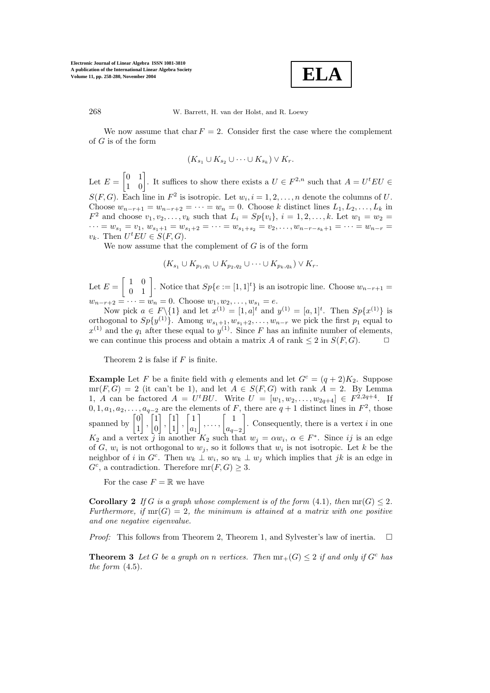

268 W. Barrett, H. van der Holst, and R. Loewy

We now assume that char  $F = 2$ . Consider first the case where the complement of G is of the form

$$
(K_{s_1} \cup K_{s_2} \cup \cdots \cup K_{s_k}) \vee K_r.
$$

Let  $E = \begin{bmatrix} 0 & 1 \\ 1 & 0 \end{bmatrix}$ . It suffices to show there exists a  $U \in F^{2,n}$  such that  $A = U^t E U \in$  $S(F, G)$ . Each line in  $F^2$  is isotropic. Let  $w_i, i = 1, 2, \ldots, n$  denote the columns of U. Choose  $w_{n-r+1} = w_{n-r+2} = \cdots = w_n = 0$ . Choose k distinct lines  $L_1, L_2, \ldots, L_k$  in  $F^2$  and choose  $v_1, v_2, \ldots, v_k$  such that  $L_i = Sp\{v_i\}, i = 1, 2, \ldots, k$ . Let  $w_1 = w_2 =$  $\cdots = w_{s_1} = v_1, w_{s_1+1} = w_{s_1+2} = \cdots = w_{s_1+s_2} = v_2, \ldots, w_{n-r-s_k+1} = \cdots = w_{n-r} =$  $v_k$ . Then  $U^t EU \in S(F, G)$ .

We now assume that the complement of  $G$  is of the form

$$
(K_{s_1}\cup K_{p_1,q_1}\cup K_{p_2,q_2}\cup\cdots\cup K_{p_k,q_k})\vee K_r.
$$

Let  $E = \begin{bmatrix} 1 & 0 \\ 0 & 1 \end{bmatrix}$ . Notice that  $Sp\{e := [1,1]^t\}$  is an isotropic line. Choose  $w_{n-r+1} =$  $w_{n-r+2} = \cdots = w_n = 0.$  Choose  $w_1, w_2, \ldots, w_{s_1} = e$ .

Now pick  $a \in F \setminus \{1\}$  and let  $x^{(1)} = [1, a]^t$  and  $y^{(1)} = [a, 1]^t$ . Then  $Sp\{x^{(1)}\}$  is orthogonal to  $Sp\{y^{(1)}\}$ . Among  $w_{s_1+1}, w_{s_1+2}, \ldots, w_{n-r}$  we pick the first  $p_1$  equal to  $x^{(1)}$  and the  $q_1$  after these equal to  $y^{(1)}$ . Since F has an infinite number of elements, we can continue this process and obtain a matrix A of rank  $\leq 2$  in  $S(F, G)$ .  $\Box$ 

Theorem 2 is false if  $F$  is finite.

**Example** Let F be a finite field with q elements and let  $G^c = (q+2)K_2$ . Suppose  $mr(F, G) = 2$  (it can't be 1), and let  $A \in S(F, G)$  with rank  $A = 2$ . By Lemma 1, A can be factored  $A = U^t B U$ . Write  $U = [w_1, w_2, \dots, w_{2q+4}] \in F^{2,2q+4}$ . If  $0, 1, a_1, a_2, \ldots, a_{q-2}$  are the elements of F, there are  $q + 1$  distinct lines in  $F^2$ , those spanned by  $\begin{bmatrix} 0 \\ 1 \end{bmatrix}$ 1  $\begin{bmatrix} 1 \\ 1 \end{bmatrix}$ 0  $\begin{bmatrix} 1 \\ 1 \end{bmatrix}$ 1  $\begin{bmatrix} 1 \end{bmatrix}$  $a_1$  $\begin{bmatrix} 1 \\ \ldots \end{bmatrix}$  $a_{q-2}$ . Consequently, there is a vertex  $i$  in one  $K_2$  and a vertex j in another  $K_2$  such that  $w_j = \alpha w_i, \ \alpha \in F^*$ . Since ij is an edge of G,  $w_i$  is not orthogonal to  $w_j$ , so it follows that  $w_i$  is not isotropic. Let k be the neighbor of i in  $G^c$ . Then  $w_k \perp w_i$ , so  $w_k \perp w_j$  which implies that jk is an edge in  $G^c$ , a contradiction. Therefore  $mr(F, G) \geq 3$ .

For the case  $F = \mathbb{R}$  we have

**Corollary 2** If G is a graph whose complement is of the form  $(4.1)$ *, then*  $\text{mr}(G) \leq 2$ *.* Furthermore, if  $mr(G)=2$ , the minimum is attained at a matrix with one positive *and one negative eigenvalue.*

*Proof:* This follows from Theorem 2, Theorem 1, and Sylvester's law of inertia.  $\square$ 

**Theorem 3** Let G be a graph on n vertices. Then  $mr_+(G) \leq 2$  if and only if  $G^c$  has *the form* (4.5)*.*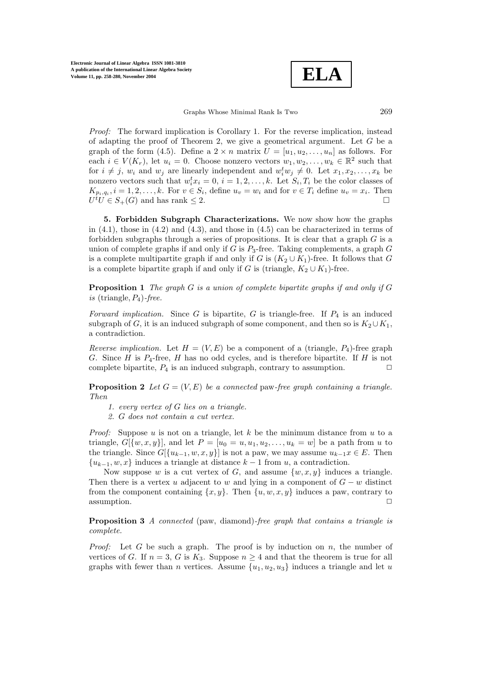

*Proof:* The forward implication is Corollary 1. For the reverse implication, instead of adapting the proof of Theorem 2, we give a geometrical argument. Let  $G$  be a graph of the form (4.5). Define a  $2 \times n$  matrix  $U = [u_1, u_2, \ldots, u_n]$  as follows. For each  $i \in V(K_r)$ , let  $u_i = 0$ . Choose nonzero vectors  $w_1, w_2, \ldots, w_k \in \mathbb{R}^2$  such that for  $i \neq j$ ,  $w_i$  and  $w_j$  are linearly independent and  $w_i^t w_j \neq 0$ . Let  $x_1, x_2, \ldots, x_k$  be nonzero vectors such that  $w_i^t x_i = 0, i = 1, 2, ..., k$ . Let  $S_i, T_i$  be the color classes of  $K_{p_i,q_i}$ ,  $i = 1,2,\ldots,k$ . For  $v \in S_i$ , define  $u_v = w_i$  and for  $v \in T_i$  define  $u_v = x_i$ . Then  $U^{\dagger}U \in S_{+}(G)$  and has rank  $\leq 2$ .

**5. Forbidden Subgraph Characterizations.** We now show how the graphs in  $(4.1)$ , those in  $(4.2)$  and  $(4.3)$ , and those in  $(4.5)$  can be characterized in terms of forbidden subgraphs through a series of propositions. It is clear that a graph  $G$  is a union of complete graphs if and only if G is  $P_3$ -free. Taking complements, a graph G is a complete multipartite graph if and only if G is  $(K_2 \cup K_1)$ -free. It follows that G is a complete bipartite graph if and only if G is (triangle,  $K_2 \cup K_1$ )-free.

**Proposition 1** *The graph* G *is a union of complete bipartite graphs if and only if* G  $is$  (triangle,  $P_4$ )-free.

*Forward implication.* Since  $G$  is bipartite,  $G$  is triangle-free. If  $P_4$  is an induced subgraph of G, it is an induced subgraph of some component, and then so is  $K_2 \cup K_1$ , a contradiction.

*Reverse implication.* Let  $H = (V, E)$  be a component of a (triangle,  $P_4$ )-free graph G. Since H is  $P_4$ -free, H has no odd cycles, and is therefore bipartite. If H is not complete bipartite,  $P_4$  is an induced subgraph, contrary to assumption.  $\Box$ 

**Proposition 2** Let  $G = (V, E)$  be a connected paw-free graph containing a triangle. *Then*

- *1. every vertex of* G *lies on a triangle.*
- *2.* G *does not contain a cut vertex.*

*Proof:* Suppose u is not on a triangle, let k be the minimum distance from u to a triangle,  $G[{w, x, y}]$ , and let  $P = [u_0 = u, u_1, u_2, \dots, u_k = w]$  be a path from u to the triangle. Since  $G[\{u_{k-1}, w, x, y\}]$  is not a paw, we may assume  $u_{k-1}x \in E$ . Then  ${u_{k-1}, w, x}$  induces a triangle at distance  $k-1$  from u, a contradiction.

Now suppose w is a cut vertex of G, and assume  $\{w, x, y\}$  induces a triangle. Then there is a vertex u adjacent to w and lying in a component of  $G - w$  distinct from the component containing  $\{x, y\}$ . Then  $\{u, w, x, y\}$  induces a paw, contrary to  $\Box$  assumption.

**Proposition 3** *A connected* (paw, diamond)*-free graph that contains a triangle is complete.*

*Proof:* Let G be such a graph. The proof is by induction on n, the number of vertices of G. If  $n = 3$ , G is  $K_3$ . Suppose  $n \geq 4$  and that the theorem is true for all graphs with fewer than n vertices. Assume  $\{u_1, u_2, u_3\}$  induces a triangle and let u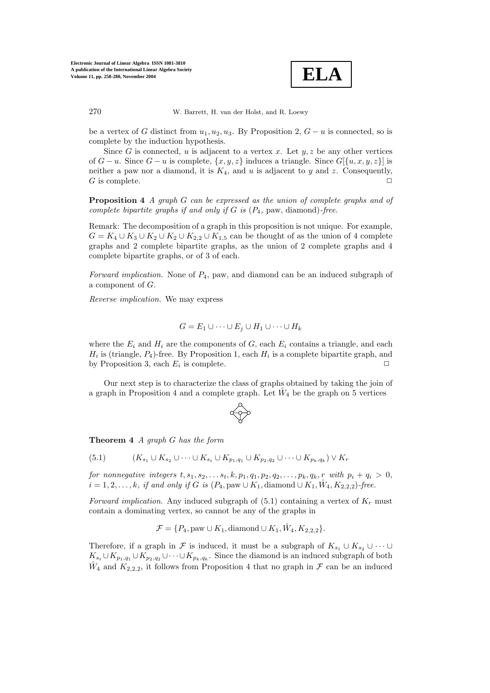

be a vertex of G distinct from  $u_1, u_2, u_3$ . By Proposition 2,  $G - u$  is connected, so is complete by the induction hypothesis.

Since G is connected, u is adjacent to a vertex x. Let  $y, z$  be any other vertices of  $G - u$ . Since  $G - u$  is complete,  $\{x, y, z\}$  induces a triangle. Since  $G[\{u, x, y, z\}]$  is neither a paw nor a diamond, it is  $K_4$ , and u is adjacent to y and z. Consequently,  $G$  is complete.

**Proposition 4** *A graph* G *can be expressed as the union of complete graphs and of complete bipartite graphs if and only if* G *is* (P4*,* paw, diamond)*-free.*

Remark: The decomposition of a graph in this proposition is not unique. For example,  $G = K_4 \cup K_3 \cup K_2 \cup K_2 \cup K_{2,2} \cup K_{1,5}$  can be thought of as the union of 4 complete graphs and 2 complete bipartite graphs, as the union of 2 complete graphs and 4 complete bipartite graphs, or of 3 of each.

*Forward implication.* None of  $P_4$ , paw, and diamond can be an induced subgraph of a component of G.

*Reverse implication.* We may express

$$
G = E_1 \cup \cdots \cup E_j \cup H_1 \cup \cdots \cup H_k
$$

where the  $E_i$  and  $H_i$  are the components of G, each  $E_i$  contains a triangle, and each  $H_i$  is (triangle,  $P_4$ )-free. By Proposition 1, each  $H_i$  is a complete bipartite graph, and by Proposition 3, each  $E_i$  is complete.

Our next step is to characterize the class of graphs obtained by taking the join of a graph in Proposition 4 and a complete graph. Let  $\hat{W}_4$  be the graph on 5 vertices



**Theorem 4** *A graph* G *has the form*

(5.1) 
$$
(K_{s_1} \cup K_{s_2} \cup \cdots \cup K_{s_t} \cup K_{p_1,q_1} \cup K_{p_2,q_2} \cup \cdots \cup K_{p_k,q_k}) \vee K_r
$$

*for nonnegative integers*  $t, s_1, s_2, \ldots, s_t, k, p_1, q_1, p_2, q_2, \ldots, p_k, q_k, r$  *with*  $p_i + q_i > 0$ *,*  $i = 1, 2, \ldots, k$ , if and only if G is  $(P_4, \text{paw} \cup K_1, \text{diamond} \cup K_1, \hat{W}_4, K_{2,2,2})$ -free.

*Forward implication.* Any induced subgraph of  $(5.1)$  containing a vertex of  $K_r$  must contain a dominating vertex, so cannot be any of the graphs in

 $\mathcal{F} = \{P_4, \text{paw} \cup K_1, \text{diamond} \cup K_1, \hat{W}_4, K_{2,2,2}\}.$ 

Therefore, if a graph in F is induced, it must be a subgraph of  $K_{s_1} \cup K_{s_2} \cup \cdots \cup$  $K_{s_t} \cup K_{p_1,q_1} \cup K_{p_2,q_2} \cup \cdots \cup K_{p_k,q_k}$ . Since the diamond is an induced subgraph of both  $\hat{W}_4$  and  $K_{2,2,2}$ , it follows from Proposition 4 that no graph in  $\mathcal F$  can be an induced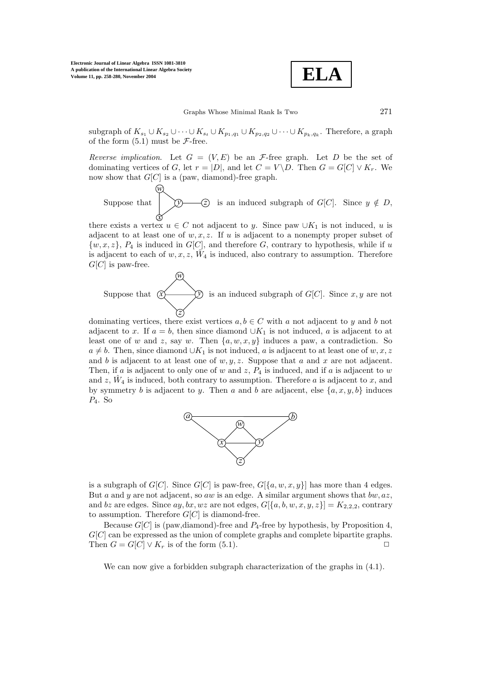*w*

*w*

$$
\boxed{\text{ELA}}
$$

subgraph of  $K_{s_1} \cup K_{s_2} \cup \cdots \cup K_{s_t} \cup K_{p_1,q_1} \cup K_{p_2,q_2} \cup \cdots \cup K_{p_k,q_k}$ . Therefore, a graph of the form  $(5.1)$  must be  $\mathcal{F}\text{-free}$ .

*Reverse implication.* Let  $G = (V, E)$  be an F-free graph. Let D be the set of dominating vertices of G, let  $r = |D|$ , and let  $C = V \backslash D$ . Then  $G = G[C] \vee K_r$ . We now show that  $G[C]$  is a (paw, diamond)-free graph.

Suppose that *x*  $\overline{-}(z)$  is an induced subgraph of  $G[C]$ . Since  $y \notin D$ ,

there exists a vertex  $u \in C$  not adjacent to y. Since paw  $\cup K_1$  is not induced, u is adjacent to at least one of  $w, x, z$ . If u is adjacent to a nonempty proper subset of  $\{w, x, z\}, P_4$  is induced in  $G[C]$ , and therefore G, contrary to hypothesis, while if u is adjacent to each of  $w, x, z, W_4$  is induced, also contrary to assumption. Therefore  $G[C]$  is paw-free.

Suppose that  $\sigma$ *z* is an induced subgraph of  $G[C]$ . Since x, y are not

dominating vertices, there exist vertices  $a, b \in C$  with a not adjacent to y and b not adjacent to x. If  $a = b$ , then since diamond  $\cup K_1$  is not induced, a is adjacent to at least one of w and z, say w. Then  $\{a, w, x, y\}$  induces a paw, a contradiction. So  $a \neq b$ . Then, since diamond  $\cup K_1$  is not induced, a is adjacent to at least one of w, x, z and b is adjacent to at least one of  $w, y, z$ . Suppose that a and x are not adjacent. Then, if a is adjacent to only one of w and z,  $P_4$  is induced, and if a is adjacent to w and  $z$ ,  $W_4$  is induced, both contrary to assumption. Therefore a is adjacent to x, and by symmetry b is adjacent to y. Then a and b are adjacent, else  $\{a, x, y, b\}$  induces  $P_4$ . So



is a subgraph of  $G[C]$ . Since  $G[C]$  is paw-free,  $G[\{a, w, x, y\}]$  has more than 4 edges. But a and y are not adjacent, so aw is an edge. A similar argument shows that  $bw, az$ , and bz are edges. Since  $ay, bx, wz$  are not edges,  $G[{a, b, w, x, y, z}] = K_{2,2,2}$ , contrary to assumption. Therefore  $G[C]$  is diamond-free.

Because  $G[C]$  is (paw,diamond)-free and  $P_4$ -free by hypothesis, by Proposition 4,  $G[C]$  can be expressed as the union of complete graphs and complete bipartite graphs. Then  $G = G[C] \vee K_r$  is of the form (5.1).

We can now give a forbidden subgraph characterization of the graphs in (4.1).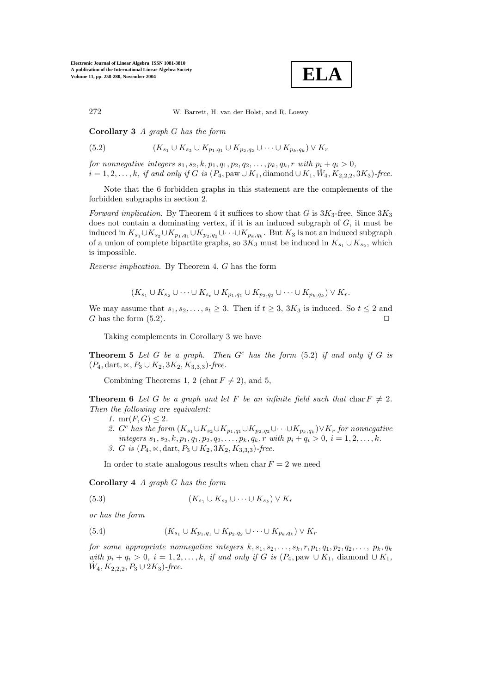**ELA**

**Corollary 3** *A graph* G *has the form*

(5.2) 
$$
(K_{s_1} \cup K_{s_2} \cup K_{p_1,q_1} \cup K_{p_2,q_2} \cup \cdots \cup K_{p_k,q_k}) \vee K_r
$$

*for nonnegative integers*  $s_1, s_2, k, p_1, q_1, p_2, q_2, \ldots, p_k, q_k, r$  *with*  $p_i + q_i > 0$ *,*  $i = 1, 2, \ldots, k$ *, if and only if* G *is* ( $P_4$ , paw∪ $K_1$ , diamond ∪ $K_1$ ,  $\hat{W}_4$ ,  $K_{2,2,2}$ , 3 $K_3$ )-free.

Note that the 6 forbidden graphs in this statement are the complements of the forbidden subgraphs in section 2.

*Forward implication*. By Theorem 4 it suffices to show that G is  $3K_3$ -free. Since  $3K_3$ does not contain a dominating vertex, if it is an induced subgraph of  $G$ , it must be induced in  $K_{s_1} \cup K_{s_2} \cup K_{p_1,q_1} \cup K_{p_2,q_2} \cup \cdots \cup K_{p_k,q_k}$ . But  $K_3$  is not an induced subgraph of a union of complete bipartite graphs, so  $3K_3$  must be induced in  $K_{s_1} \cup K_{s_2}$ , which is impossible.

*Reverse implication*. By Theorem 4, G has the form

$$
(K_{s_1} \cup K_{s_2} \cup \cdots \cup K_{s_t} \cup K_{p_1,q_1} \cup K_{p_2,q_2} \cup \cdots \cup K_{p_k,q_k}) \vee K_r.
$$

We may assume that  $s_1, s_2, \ldots, s_t \geq 3$ . Then if  $t \geq 3$ ,  $3K_3$  is induced. So  $t \leq 2$  and G has the form  $(5.2)$ .

Taking complements in Corollary 3 we have

**Theorem 5** *Let* G *be a graph. Then* G<sup>c</sup> *has the form* (5.2) *if and only if* G *is*  $(P_4, \text{dart}, \kappa, P_3 \cup K_2, 3K_2, K_{3,3,3})$ -free.

Combining Theorems 1, 2 (char  $F \neq 2$ ), and 5,

**Theorem 6** Let G be a graph and let F be an infinite field such that char  $F \neq 2$ . *Then the following are equivalent:*

- *1.*  $mr(F, G) \leq 2$ *.*
- 2. G<sup>c</sup> has the form  $(K_{s_1} \cup K_{s_2} \cup K_{p_1,q_1} \cup K_{p_2,q_2} \cup \cdots \cup K_{p_k,q_k}) \vee K_r$  for nonnegative *integers*  $s_1, s_2, k, p_1, q_1, p_2, q_2, \ldots, p_k, q_k, r$  *with*  $p_i + q_i > 0, i = 1, 2, \ldots, k$ *.* 3. G is  $(P_4, \times, \text{dart}, P_3 \cup K_2, 3K_2, K_{3,3,3})$ -free.

In order to state analogous results when char $F = 2$  we need

**Corollary 4** *A graph* G *has the form*

(5.3) 
$$
(K_{s_1} \cup K_{s_2} \cup \cdots \cup K_{s_k}) \vee K_r
$$

*or has the form*

(5.4) 
$$
(K_{s_1} \cup K_{p_1,q_1} \cup K_{p_2,q_2} \cup \cdots \cup K_{p_k,q_k}) \vee K_r
$$

*for some appropriate nonnegative integers*  $k, s_1, s_2, \ldots, s_k, r, p_1, q_1, p_2, q_2, \ldots, p_k, q_k$ *with*  $p_i + q_i > 0$ ,  $i = 1, 2, ..., k$ , *if and only if G is* ( $P_4$ , paw ∪  $K_1$ , diamond ∪  $K_1$ ,  $W_4, K_{2,2,2}, P_3 \cup 2K_3$ *-free.*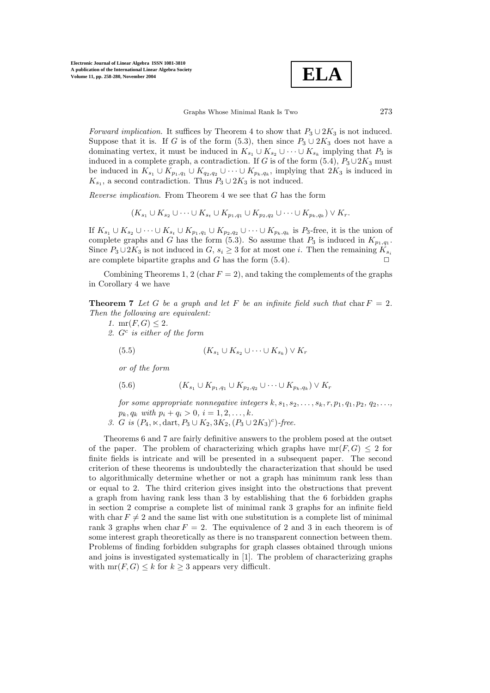

*Forward implication*. It suffices by Theorem 4 to show that  $P_3 \cup 2K_3$  is not induced. Suppose that it is. If G is of the form (5.3), then since  $P_3 \cup 2K_3$  does not have a dominating vertex, it must be induced in  $K_{s_1} \cup K_{s_2} \cup \cdots \cup K_{s_k}$  implying that  $P_3$  is induced in a complete graph, a contradiction. If G is of the form  $(5.4)$ ,  $P_3 \cup 2K_3$  must be induced in  $K_{s_1} \cup K_{p_1,q_1} \cup K_{q_2,q_2} \cup \cdots \cup K_{p_k,q_k}$ , implying that  $2K_3$  is induced in  $K_{s_1}$ , a second contradiction. Thus  $P_3 \cup 2K_3$  is not induced.

*Reverse implication*. From Theorem 4 we see that G has the form

 $(K_{s_1} \cup K_{s_2} \cup \cdots \cup K_{s_t} \cup K_{p_1,q_1} \cup K_{p_2,q_2} \cup \cdots \cup K_{p_k,q_k}) \vee K_r.$ 

If  $K_{s_1} \cup K_{s_2} \cup \cdots \cup K_{s_t} \cup K_{p_1,q_1} \cup K_{p_2,q_2} \cup \cdots \cup K_{p_k,q_k}$  is  $P_3$ -free, it is the union of complete graphs and G has the form (5.3). So assume that  $P_3$  is induced in  $K_{p_1,q_1}$ . Since  $P_3 \cup 2K_3$  is not induced in  $G, s_i \geq 3$  for at most one *i*. Then the remaining  $K_{s_i}$ are complete bipartite graphs and G has the form  $(5.4)$ .

Combining Theorems 1, 2 (char  $F = 2$ ), and taking the complements of the graphs in Corollary 4 we have

**Theorem 7** Let G be a graph and let F be an infinite field such that char  $F = 2$ . *Then the following are equivalent:*

- *1.* mr( $F, G$ ) < 2. *2.* G<sup>c</sup> *is either of the form*
	- (5.5)  $(K_{s_1} \cup K_{s_2} \cup \cdots \cup K_{s_k}) \vee K_r$

*or of the form*

(5.6) 
$$
(K_{s_1} \cup K_{p_1,q_1} \cup K_{p_2,q_2} \cup \cdots \cup K_{p_k,q_k}) \vee K_r
$$

*for some appropriate nonnegative integers*  $k, s_1, s_2, \ldots, s_k, r, p_1, q_1, p_2, q_2, \ldots$ *,*  $p_k, q_k$  *with*  $p_i + q_i > 0, i = 1, 2, \ldots, k$ .

3. *G is*  $(P_4, \times, \text{dart}, P_3 \cup K_2, 3K_2, (P_3 \cup 2K_3)^c)$ *-free.* 

Theorems 6 and 7 are fairly definitive answers to the problem posed at the outset of the paper. The problem of characterizing which graphs have  $mr(F, G) \leq 2$  for finite fields is intricate and will be presented in a subsequent paper. The second criterion of these theorems is undoubtedly the characterization that should be used to algorithmically determine whether or not a graph has minimum rank less than or equal to 2. The third criterion gives insight into the obstructions that prevent a graph from having rank less than 3 by establishing that the 6 forbidden graphs in section 2 comprise a complete list of minimal rank 3 graphs for an infinite field with char  $F \neq 2$  and the same list with one substitution is a complete list of minimal rank 3 graphs when char $F = 2$ . The equivalence of 2 and 3 in each theorem is of some interest graph theoretically as there is no transparent connection between them. Problems of finding forbidden subgraphs for graph classes obtained through unions and joins is investigated systematically in [1]. The problem of characterizing graphs with  $mr(F, G) \leq k$  for  $k \geq 3$  appears very difficult.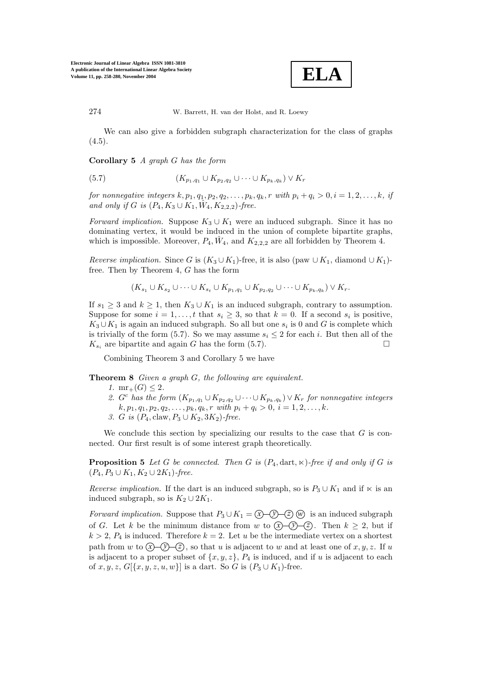

We can also give a forbidden subgraph characterization for the class of graphs  $(4.5).$ 

**Corollary 5** *A graph* G *has the form*

(5.7) 
$$
(K_{p_1,q_1} \cup K_{p_2,q_2} \cup \cdots \cup K_{p_k,q_k}) \vee K_r
$$

*for nonnegative integers*  $k, p_1, q_1, p_2, q_2, \ldots, p_k, q_k, r$  *with*  $p_i + q_i > 0, i = 1, 2, \ldots, k$ , *if and only if* G *is*  $(P_4, K_3 \cup K_1, \hat{W}_4, K_{2,2,2})$ *-free.* 

*Forward implication.* Suppose  $K_3 \cup K_1$  were an induced subgraph. Since it has no dominating vertex, it would be induced in the union of complete bipartite graphs, which is impossible. Moreover,  $P_4$ ,  $\hat{W}_4$ , and  $K_{2,2,2}$  are all forbidden by Theorem 4.

*Reverse implication.* Since G is  $(K_3 \cup K_1)$ -free, it is also (paw  $\cup K_1$ , diamond  $\cup K_1$ )free. Then by Theorem 4, G has the form

$$
(K_{s_1}\cup K_{s_2}\cup\cdots\cup K_{s_t}\cup K_{p_1,q_1}\cup K_{p_2,q_2}\cup\cdots\cup K_{p_k,q_k})\vee K_r.
$$

If  $s_1 \geq 3$  and  $k \geq 1$ , then  $K_3 \cup K_1$  is an induced subgraph, contrary to assumption. Suppose for some  $i = 1, \ldots, t$  that  $s_i \geq 3$ , so that  $k = 0$ . If a second  $s_i$  is positive,  $K_3 \cup K_1$  is again an induced subgraph. So all but one  $s_i$  is 0 and G is complete which is trivially of the form (5.7). So we may assume  $s_i \leq 2$  for each i. But then all of the  $K_{s_i}$  are bipartite and again G has the form (5.7).

Combining Theorem 3 and Corollary 5 we have

**Theorem 8** *Given a graph* G*, the following are equivalent.*

- *1.*  $mr_+(G) < 2$ .
- 2.  $G^c$  *has the form*  $(K_{p_1,q_1} \cup K_{p_2,q_2} \cup \cdots \cup K_{p_k,q_k}) \vee K_r$  *for nonnegative integers*  $k, p_1, q_1, p_2, q_2, \ldots, p_k, q_k, r \text{ with } p_i + q_i > 0, i = 1, 2, \ldots, k.$
- *3. G is*  $(P_4, \text{claw}, P_3 \cup K_2, 3K_2)$ -free.

We conclude this section by specializing our results to the case that  $G$  is connected. Our first result is of some interest graph theoretically.

**Proposition 5** Let G be connected. Then G is  $(P_4, \text{dart}, \kappa)$ -free if and only if G is  $(P_4, P_3 \cup K_1, K_2 \cup 2K_1)$ -free.

*Reverse implication.* If the dart is an induced subgraph, so is  $P_3 \cup K_1$  and if  $\ltimes$  is an induced subgraph, so is  $K_2 \cup 2K_1$ .

*Forward implication.* Suppose that  $P_3 \cup K_1 = \mathbb{Q} - \mathbb{Q} - \mathbb{Z}$  *w* is an induced subgraph of G. Let k be the minimum distance from w to  $\mathcal{X}(\mathcal{Y}(\mathcal{Y})\)$ . Then  $k \geq 2$ , but if  $k > 2$ ,  $P_4$  is induced. Therefore  $k = 2$ . Let u be the intermediate vertex on a shortest path from w to  $\widehat{x}$   $\widehat{y}$   $\widehat{y}$   $\widehat{z}$ , so that u is adjacent to w and at least one of x, y, z. If u is adjacent to a proper subset of  $\{x, y, z\}$ ,  $P_4$  is induced, and if u is adjacent to each of  $x, y, z, G[{x, y, z, u, w}]$  is a dart. So G is  $(P_3 \cup K_1)$ -free.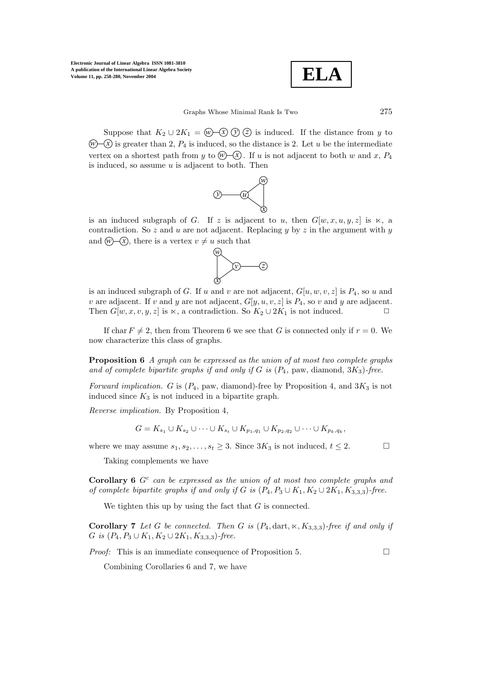$$
\boxed{\text{ELA}}
$$

Suppose that  $K_2 \cup 2K_1 = \omega \setminus \omega(\mathfrak{D})$  *z* is induced. If the distance from y to  $\mathcal{W}(\mathcal{X})$  is greater than 2,  $P_4$  is induced, so the distance is 2. Let u be the intermediate vertex on a shortest path from y to  $\mathcal{W}(\mathcal{X})$ . If u is not adjacent to both w and x,  $P_4$ is induced, so assume  $u$  is adjacent to both. Then



is an induced subgraph of G. If z is adjacent to u, then  $G[w, x, u, y, z]$  is  $\ltimes$ , a contradiction. So z and u are not adjacent. Replacing y by z in the argument with y and  $\widehat{w}$   $\widehat{x}$ , there is a vertex  $v \neq u$  such that



is an induced subgraph of G. If u and v are not adjacent,  $G[u, w, v, z]$  is  $P_4$ , so u and v are adjacent. If v and y are not adjacent,  $G[y, u, v, z]$  is  $P_4$ , so v and y are adjacent. Then  $G[w, x, v, y, z]$  is  $\ltimes$ , a contradiction. So  $K_2 \cup 2K_1$  is not induced.  $\square$ 

If char  $F \neq 2$ , then from Theorem 6 we see that G is connected only if  $r = 0$ . We now characterize this class of graphs.

**Proposition 6** *A graph can be expressed as the union of at most two complete graphs* and of complete bipartite graphs if and only if  $G$  is  $(P_4, \text{ paw}, \text{diamond}, 3K_3)$ -free.

*Forward implication.* G is  $(P_4, \text{paw}, \text{diamond})$ -free by Proposition 4, and  $3K_3$  is not induced since  $K_3$  is not induced in a bipartite graph.

*Reverse implication.* By Proposition 4,

Taking complements we have

$$
G = K_{s_1} \cup K_{s_2} \cup \cdots \cup K_{s_t} \cup K_{p_1,q_1} \cup K_{p_2,q_2} \cup \cdots \cup K_{p_k,q_k},
$$

where we may assume  $s_1, s_2, \ldots, s_t \geq 3$ . Since  $3K_3$  is not induced,  $t \leq 2$ .

**Corollary 6**  $G^c$  *can be expressed as the union of at most two complete graphs and of complete bipartite graphs if and only if* G *is*  $(P_4, P_3 \cup K_1, K_2 \cup 2K_1, K_{3,3,3})$ -free.

We tighten this up by using the fact that  $G$  is connected.

**Corollary 7** *Let* G *be connected.* Then G *is*  $(P_4, \text{dart}, \kappa, K_{3,3,3})$ *-free if and only if* G *is*  $(P_4, P_3 \cup K_1, K_2 \cup 2K_1, K_{3,3,3})$ -free.

*Proof:* This is an immediate consequence of Proposition 5. □

Combining Corollaries 6 and 7, we have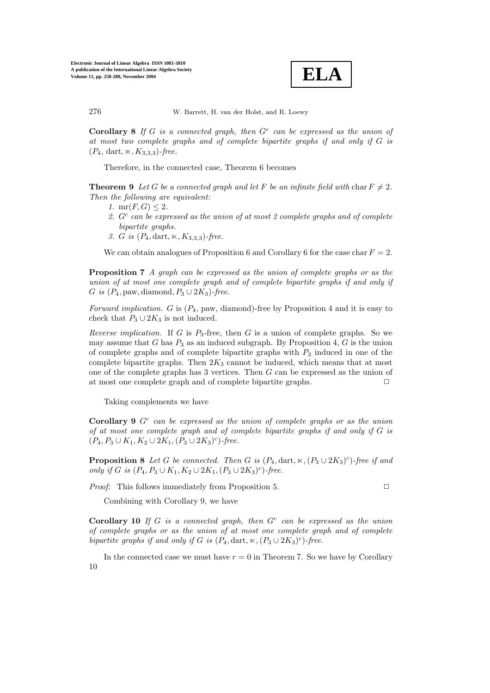**ELA**

**Corollary 8** *If* G *is a connected graph, then* G<sup>c</sup> *can be expressed as the union of at most two complete graphs and of complete bipartite graphs if and only if* G *is*  $(P_4, \text{ dart}, \kappa, K_{3,3,3})$ -free.

Therefore, in the connected case, Theorem 6 becomes

**Theorem 9** Let G be a connected graph and let F be an infinite field with char  $F \neq 2$ . *Then the following are equivalent:*

- *1.*  $mr(F, G) < 2$ *.*
- *2.* G<sup>c</sup> *can be expressed as the union of at most 2 complete graphs and of complete bipartite graphs.*
- 3. *G is*  $(P_4, \text{dart}, \kappa, K_{3,3,3})$ -free.

We can obtain analogues of Proposition 6 and Corollary 6 for the case char  $F = 2$ .

**Proposition 7** *A graph can be expressed as the union of complete graphs or as the union of at most one complete graph and of complete bipartite graphs if and only if* G *is*  $(P_4$ , paw, diamond,  $P_3 \cup 2K_3$ *-free.* 

*Forward implication.* G is (P4, paw, diamond)-free by Proposition 4 and it is easy to check that  $P_3 \cup 2K_3$  is not induced.

*Reverse implication.* If G is  $P_3$ -free, then G is a union of complete graphs. So we may assume that G has  $P_3$  as an induced subgraph. By Proposition 4, G is the union of complete graphs and of complete bipartite graphs with  $P_3$  induced in one of the complete bipartite graphs. Then  $2K_3$  cannot be induced, which means that at most one of the complete graphs has 3 vertices. Then G can be expressed as the union of at most one complete graph and of complete bipartite graphs.  $\Box$ 

Taking complements we have

**Corollary 9** G<sup>c</sup> *can be expressed as the union of complete graphs or as the union of at most one complete graph and of complete bipartite graphs if and only if* G *is*  $(P_4, P_3 \cup K_1, K_2 \cup 2K_1, (P_3 \cup 2K_3)^c)$ -free.

**Proposition 8** Let G be connected. Then G is  $(P_4, \text{dart}, \kappa, (P_3 \cup 2K_3)^c)$ *-free if and only if* G *is*  $(P_4, P_3 \cup K_1, K_2 \cup 2K_1, (P_3 \cup 2K_3)^c)$ -free.

*Proof:* This follows immediately from Proposition 5.

Combining with Corollary 9, we have

**Corollary 10** *If* G *is a connected graph, then* G<sup>c</sup> *can be expressed as the union of complete graphs or as the union of at most one complete graph and of complete bipartite graphs if and only if* G *is*  $(P_4, \text{dart}, \kappa, (P_3 \cup 2K_3)^c)$ *-free.* 

In the connected case we must have  $r = 0$  in Theorem 7. So we have by Corollary 10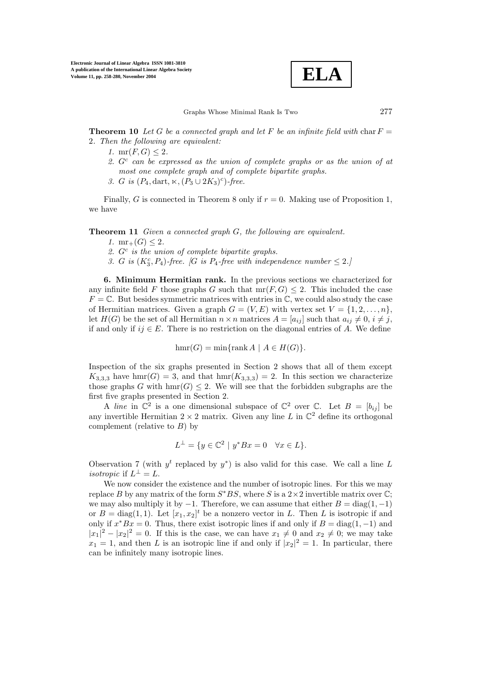

**Theorem 10** Let G be a connected graph and let F be an infinite field with char  $F =$ 2*. Then the following are equivalent:*

- *1.*  $mr(F, G) \leq 2$ *.*
- *2.* G<sup>c</sup> *can be expressed as the union of complete graphs or as the union of at most one complete graph and of complete bipartite graphs.*
- 3. *G is*  $(P_4, \text{dart}, \kappa, (P_3 \cup 2K_3)^c)$ *-free.*

Finally, G is connected in Theorem 8 only if  $r = 0$ . Making use of Proposition 1, we have

**Theorem 11** *Given a connected graph* G*, the following are equivalent.*

- *1.*  $mr_+(G) < 2$ .
- *2.* G<sup>c</sup> *is the union of complete bipartite graphs.*
- 3. G is  $(K_3^c, P_4)$ -free. [G is  $P_4$ -free with independence number  $\leq 2$ .]

**6. Minimum Hermitian rank.** In the previous sections we characterized for any infinite field F those graphs G such that  $mr(F, G) \leq 2$ . This included the case  $F = \mathbb{C}$ . But besides symmetric matrices with entries in  $\mathbb{C}$ , we could also study the case of Hermitian matrices. Given a graph  $G = (V, E)$  with vertex set  $V = \{1, 2, ..., n\}$ , let  $H(G)$  be the set of all Hermitian  $n \times n$  matrices  $A = [a_{ij}]$  such that  $a_{ij} \neq 0, i \neq j$ , if and only if  $ij \in E$ . There is no restriction on the diagonal entries of A. We define

$$
hmr(G) = \min\{\operatorname{rank} A \mid A \in H(G)\}.
$$

Inspection of the sixgraphs presented in Section 2 shows that all of them except  $K_{3,3,3}$  have hmr(G) = 3, and that hmr( $K_{3,3,3}$ ) = 2. In this section we characterize those graphs G with  $\text{hmr}(G) \leq 2$ . We will see that the forbidden subgraphs are the first five graphs presented in Section 2.

A *line* in  $\mathbb{C}^2$  is a one dimensional subspace of  $\mathbb{C}^2$  over  $\mathbb{C}$ . Let  $B = [b_{ij}]$  be any invertible Hermitian  $2 \times 2$  matrix. Given any line L in  $\mathbb{C}^2$  define its orthogonal complement (relative to  $B$ ) by

$$
L^{\perp} = \{ y \in \mathbb{C}^2 \mid y^* B x = 0 \quad \forall x \in L \}.
$$

Observation 7 (with  $y^t$  replaced by  $y^*$ ) is also valid for this case. We call a line L *isotropic* if  $L^{\perp} = L$ .

We now consider the existence and the number of isotropic lines. For this we may replace B by any matrix of the form  $S<sup>*</sup>BS$ , where S is a 2×2 invertible matrix over  $\mathbb{C}$ ; we may also multiply it by  $-1$ . Therefore, we can assume that either  $B = \text{diag}(1, -1)$ or  $B = \text{diag}(1, 1)$ . Let  $[x_1, x_2]^t$  be a nonzero vector in L. Then L is isotropic if and only if  $x^*Bx = 0$ . Thus, there exist isotropic lines if and only if  $B = diag(1, -1)$  and  $|x_1|^2 - |x_2|^2 = 0$ . If this is the case, we can have  $x_1 \neq 0$  and  $x_2 \neq 0$ ; we may take  $x_1 = 1$ , and then L is an isotropic line if and only if  $|x_2|^2 = 1$ . In particular, there can be infinitely many isotropic lines.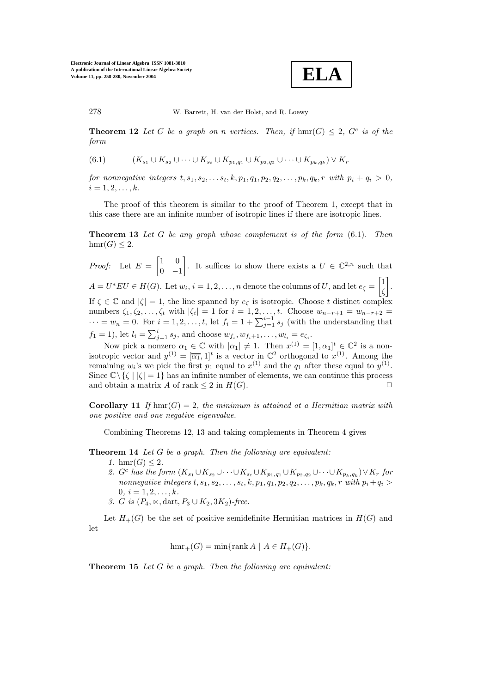**ELA**

**Theorem 12** Let G be a graph on n vertices. Then, if  $\text{hmr}(G) \leq 2$ , G<sup>c</sup> is of the *form*

(6.1) 
$$
(K_{s_1} \cup K_{s_2} \cup \cdots \cup K_{s_t} \cup K_{p_1,q_1} \cup K_{p_2,q_2} \cup \cdots \cup K_{p_k,q_k}) \vee K_r
$$

*for nonnegative integers*  $t, s_1, s_2, \ldots, s_t, k, p_1, q_1, p_2, q_2, \ldots, p_k, q_k, r$  *with*  $p_i + q_i > 0$ *,*  $i = 1, 2, \ldots, k.$ 

The proof of this theorem is similar to the proof of Theorem 1, except that in this case there are an infinite number of isotropic lines if there are isotropic lines.

**Theorem 13** *Let* G *be any graph whose complement is of the form* (6.1)*. Then*  $hmr(G) \leq 2$ .

*Proof:* Let  $E = \begin{bmatrix} 1 & 0 \\ 0 & 0 \end{bmatrix}$  $0 -1$ . It suffices to show there exists a  $U \in \mathbb{C}^{2,n}$  such that  $A = U^* E U \in H(G)$ . Let  $w_i, i = 1, 2, ..., n$  denote the columns of U, and let  $e_{\zeta} = \begin{bmatrix} 1 & 0 \\ 0 & 1 \end{bmatrix}$ ζ . If  $\zeta \in \mathbb{C}$  and  $|\zeta| = 1$ , the line spanned by  $e_{\zeta}$  is isotropic. Choose t distinct complex numbers  $\zeta_1, \zeta_2, \ldots, \zeta_t$  with  $|\zeta_i| = 1$  for  $i = 1, 2, \ldots, t$ . Choose  $w_{n-r+1} = w_{n-r+2}$  $\cdots = w_n = 0$ . For  $i = 1, 2, \ldots, t$ , let  $f_i = 1 + \sum_{j=1}^{i-1} s_j$  (with the understanding that  $f_1 = 1$ ), let  $l_i = \sum_{j=1}^{i} s_j$ , and choose  $w_{f_i}, w_{f_i+1}, \ldots, w_{l_i} = e_{\zeta_i}$ .

Now pick a nonzero  $\alpha_1 \in \mathbb{C}$  with  $|\alpha_1| \neq 1$ . Then  $x^{(1)} = [1, \alpha_1]^t \in \mathbb{C}^2$  is a nonisotropic vector and  $y^{(1)} = [\overline{\alpha_1}, 1]^t$  is a vector in  $\mathbb{C}^2$  orthogonal to  $x^{(1)}$ . Among the remaining w<sub>i</sub>'s we pick the first  $p_1$  equal to  $x^{(1)}$  and the  $q_1$  after these equal to  $y^{(1)}$ . Since  $\mathbb{C}\setminus\{\zeta\mid |\zeta|=1\}$  has an infinite number of elements, we can continue this process and obtain a matrix A of rank  $\leq 2$  in  $H(G)$ .

**Corollary 11** If  $\text{hmr}(G)=2$ , the minimum is attained at a Hermitian matrix with *one positive and one negative eigenvalue.*

Combining Theorems 12, 13 and taking complements in Theorem 4 gives

**Theorem 14** *Let* G *be a graph. Then the following are equivalent:*

- *1.* hmr(*G*)  $\leq$  2*.*
- 2.  $G^c$  *has the form*  $(K_{s_1} \cup K_{s_2} \cup \cdots \cup K_{s_t} \cup K_{p_1,q_1} \cup K_{p_2,q_2} \cup \cdots \cup K_{p_k,q_k}) \vee K_r$  *for nonnegative integers*  $t, s_1, s_2, \ldots, s_t, k, p_1, q_1, p_2, q_2, \ldots, p_k, q_k, r$  *with*  $p_i + q_i >$  $0, i = 1, 2, \ldots, k.$ 3. *G is*  $(P_4, \times, \text{dart}, P_3 \cup K_2, 3K_2)$ -free.

Let  $H_+(G)$  be the set of positive semidefinite Hermitian matrices in  $H(G)$  and let

$$
\operatorname{hmr}_+(G)=\min\{\operatorname{rank} A\mid A\in H_+(G)\}.
$$

**Theorem 15** *Let* G *be a graph. Then the following are equivalent:*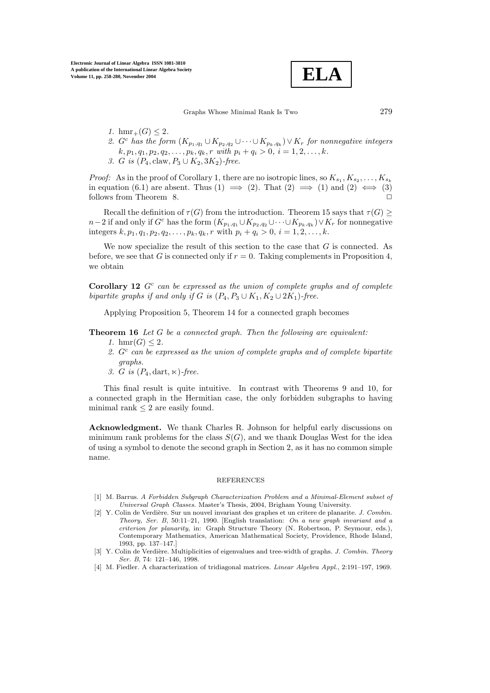$$
\boxed{\textbf{ELA}}
$$

- *1.* hmr<sub>+</sub> $(G) \leq 2$ *.*
- 2. G<sup>c</sup> has the form  $(K_{p_1,q_1} \cup K_{p_2,q_2} \cup \cdots \cup K_{p_k,q_k}) \vee K_r$  for nonnegative integers  $k, p_1, q_1, p_2, q_2, \ldots, p_k, q_k, r \text{ with } p_i + q_i > 0, i = 1, 2, \ldots, k.$ *3. G is* ( $P_4$ , claw,  $P_3 \cup K_2$ , 3 $K_2$ )-free.

*Proof:* As in the proof of Corollary 1, there are no isotropic lines, so  $K_{s_1}, K_{s_2}, \ldots, K_{s_k}$ in equation (6.1) are absent. Thus (1)  $\implies$  (2). That (2)  $\implies$  (1) and (2)  $\iff$  (3) follows from Theorem 8.

Recall the definition of  $\tau(G)$  from the introduction. Theorem 15 says that  $\tau(G) \geq$  $n-2$  if and only if  $G^c$  has the form  $(K_{p_1,q_1} \cup K_{p_2,q_2} \cup \cdots \cup K_{p_k,q_k}) \vee K_r$  for nonnegative integers  $k, p_1, q_1, p_2, q_2, \ldots, p_k, q_k, r$  with  $p_i + q_i > 0, i = 1, 2, \ldots, k$ .

We now specialize the result of this section to the case that  $G$  is connected. As before, we see that G is connected only if  $r = 0$ . Taking complements in Proposition 4, we obtain

**Corollary 12**  $G<sup>c</sup>$  *can be expressed as the union of complete graphs and of complete bipartite graphs if and only if* G *is*  $(P_4, P_3 \cup K_1, K_2 \cup 2K_1)$ *-free.* 

Applying Proposition 5, Theorem 14 for a connected graph becomes

**Theorem 16** *Let* G *be a connected graph. Then the following are equivalent:*

- *1.* hmr(*G*)  $\leq$  2*.* 
	- *2.* G<sup>c</sup> *can be expressed as the union of complete graphs and of complete bipartite graphs.*
	- 3.  $G$  is  $(P_4, \text{dart}, \kappa)$ -free.

This final result is quite intuitive. In contrast with Theorems 9 and 10, for a connected graph in the Hermitian case, the only forbidden subgraphs to having minimal rank  $\leq 2$  are easily found.

**Acknowledgment.** We thank Charles R. Johnson for helpful early discussions on minimum rank problems for the class  $S(G)$ , and we thank Douglas West for the idea of using a symbol to denote the second graph in Section 2, as it has no common simple name.

#### **REFERENCES**

- [1] M. Barrus. *A Forbidden Subgraph Characterization Problem and a Minimal-Element subset of Universal Graph Classes*. Master's Thesis, 2004, Brigham Young University.
- [2] Y. Colin de Verdière. Sur un nouvel invariant des graphes et un critere de planarite. *J. Combin. Theory, Ser. B*, 50:11–21, 1990. [English translation: *On a new graph invariant and a criterion for planarity*, in: Graph Structure Theory (N. Robertson, P. Seymour, eds.), Contemporary Mathematics, American Mathematical Society, Providence, Rhode Island, 1993, pp. 137–147.]
- [3] Y. Colin de Verdière. Multiplicities of eigenvalues and tree-width of graphs. *J. Combin. Theory Ser. B*, 74: 121–146, 1998.
- [4] M. Fiedler. A characterization of tridiagonal matrices. *Linear Algebra Appl.*, 2:191–197, 1969.